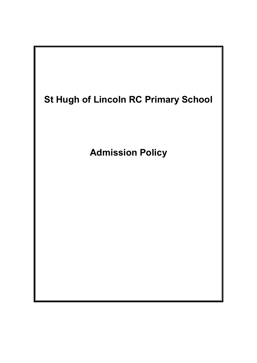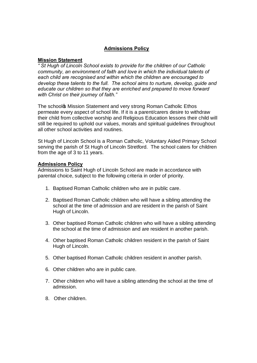## **Admissions Policy**

## **Mission Statement**

*" St Hugh of Lincoln School exists to provide for the children of our Catholic community, an environment of faith and love in which the individual talents of each child are recognised and within which the children are encouraged to develop these talents to the full. The school aims to nurture, develop, guide and educate our children so that they are enriched and prepared to move forward with Christ on their journey of faith."*

The school & Mission Statement and very strong Roman Catholic Ethos permeate every aspect of school life. If it is a parent/carers desire to withdraw their child from collective worship and Religious Education lessons their child will still be required to uphold our values, morals and spiritual guidelines throughout all other school activities and routines.

St Hugh of Lincoln School is a Roman Catholic, Voluntary Aided Primary School serving the parish of St Hugh of Lincoln Stretford. The school caters for children from the age of 3 to 11 years.

## **Admissions Policy**

Admissions to Saint Hugh of Lincoln School are made in accordance with parental choice, subject to the following criteria in order of priority.

- 1. Baptised Roman Catholic children who are in public care.
- 2. Baptised Roman Catholic children who will have a sibling attending the school at the time of admission and are resident in the parish of Saint Hugh of Lincoln.
- 3. Other baptised Roman Catholic children who will have a sibling attending the school at the time of admission and are resident in another parish.
- 4. Other baptised Roman Catholic children resident in the parish of Saint Hugh of Lincoln.
- 5. Other baptised Roman Catholic children resident in another parish.
- 6. Other children who are in public care.
- 7. Other children who will have a sibling attending the school at the time of admission.
- 8. Other children.